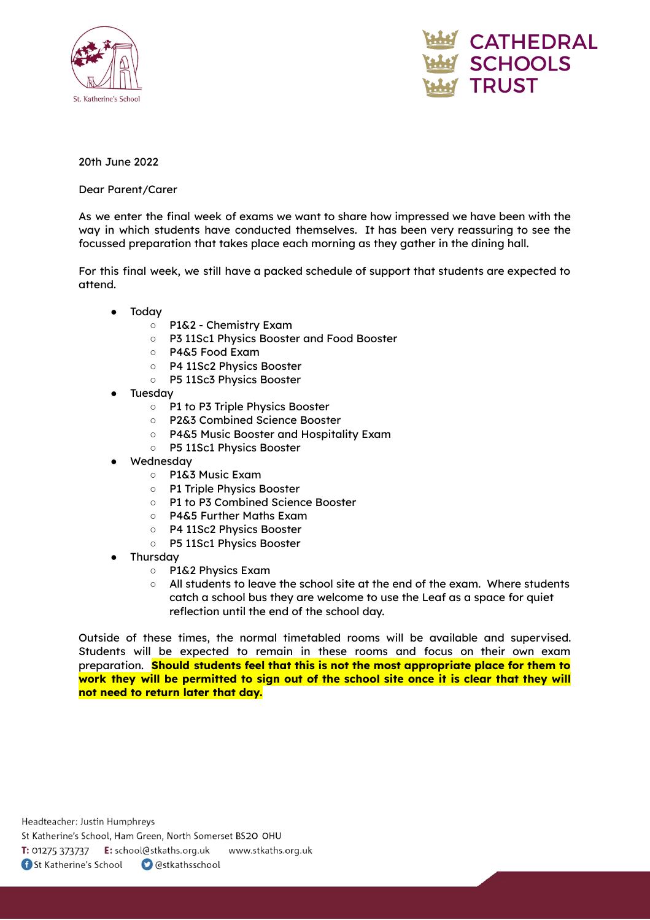



## 20th June 2022

Dear Parent/Carer

As we enter the final week of exams we want to share how impressed we have been with the way in which students have conducted themselves. It has been very reassuring to see the focussed preparation that takes place each morning as they gather in the dining hall.

For this final week, we still have a packed schedule of support that students are expected to attend.

- **Today** 
	- P1&2 Chemistry Exam
	- P3 11Sc1 Physics Booster and Food Booster
	- P4&5 Food Exam
	- P4 11Sc2 Physics Booster
	- P5 11Sc3 Physics Booster
- **Tuesday** 
	- P1 to P3 Triple Physics Booster
	- P2&3 Combined Science Booster
	- P4&5 Music Booster and Hospitality Exam
	- P5 11Sc1 Physics Booster
- Wednesday
	- P1&3 Music Exam
	- P1 Triple Physics Booster
	- P1 to P3 Combined Science Booster
	- P4&5 Further Maths Exam
	- P4 11Sc2 Physics Booster
	- P5 11Sc1 Physics Booster
- Thursday
	- P1&2 Physics Exam
	- All students to leave the school site at the end of the exam. Where students catch a school bus they are welcome to use the Leaf as a space for quiet reflection until the end of the school day.

Outside of these times, the normal timetabled rooms will be available and supervised. Students will be expected to remain in these rooms and focus on their own exam preparation. **Should students feel that this is not the most appropriate place for them to work they will be permitted to sign out of the school site once it is clear that they will not need to return later that day.**

Headteacher: Justin Humphreys

St Katherine's School, Ham Green, North Somerset BS20 OHU

T: 01275 373737 E: school@stkaths.org.uk www.stkaths.org.uk

**f** St Katherine's School **O** @stkathsschool